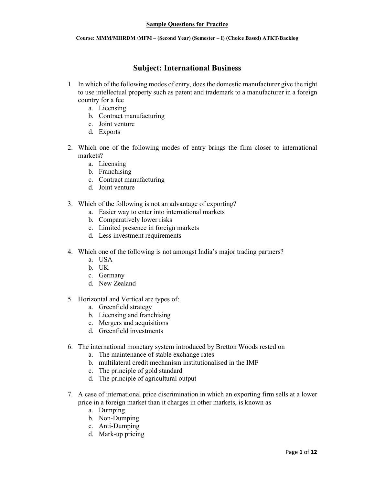# **Subject: International Business**

- 1. In which of the following modes of entry, does the domestic manufacturer give the right to use intellectual property such as patent and trademark to a manufacturer in a foreign country for a fee
	- a. Licensing
	- b. Contract manufacturing
	- c. Joint venture
	- d. Exports
- 2. Which one of the following modes of entry brings the firm closer to international markets?
	- a. Licensing
	- b. Franchising
	- c. Contract manufacturing
	- d. Joint venture
- 3. Which of the following is not an advantage of exporting?
	- a. Easier way to enter into international markets
	- b. Comparatively lower risks
	- c. Limited presence in foreign markets
	- d. Less investment requirements
- 4. Which one of the following is not amongst India's major trading partners?
	- a. USA
	- b. UK
	- c. Germany
	- d New Zealand
- 5. Horizontal and Vertical are types of:
	- a. Greenfield strategy
	- b. Licensing and franchising
	- c. Mergers and acquisitions
	- d. Greenfield investments
- 6. The international monetary system introduced by Bretton Woods rested on
	- a. The maintenance of stable exchange rates
	- h multilateral credit mechanism institutionalised in the IMF
	- c. The principle of gold standard
	- d. The principle of agricultural output
- 7. A case of international price discrimination in which an exporting firm sells at a lower price in a foreign market than it charges in other markets, is known as
	- a. Dumping
	- b. Non-Dumping
	- c. Anti-Dumping
	- d. Mark-up pricing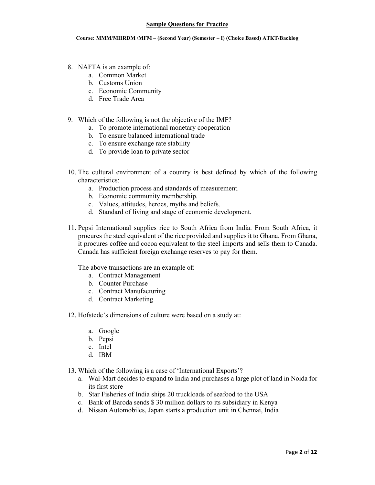#### Course: MMM/MHRDM /MFM - (Second Year) (Semester - I) (Choice Based) ATKT/Backlog

- 8. NAFTA is an example of:
	- a. Common Market
	- b. Customs Union
	- c. Economic Community
	- d. Free Trade Area
- 9. Which of the following is not the objective of the IMF?
	- a. To promote international monetary cooperation
	- b. To ensure balanced international trade
	- c. To ensure exchange rate stability
	- d. To provide loan to private sector
- 10. The cultural environment of a country is best defined by which of the following characteristics<sup>.</sup>
	- a. Production process and standards of measurement.
	- b. Economic community membership.
	- c. Values, attitudes, heroes, myths and beliefs.
	- d. Standard of living and stage of economic development.
- 11. Pepsi International supplies rice to South Africa from India. From South Africa, it procures the steel equivalent of the rice provided and supplies it to Ghana. From Ghana, it procures coffee and cocoa equivalent to the steel imports and sells them to Canada. Canada has sufficient foreign exchange reserves to pay for them.

The above transactions are an example of:

- a. Contract Management
- b. Counter Purchase
- c. Contract Manufacturing
- d. Contract Marketing
- 12. Hofstede's dimensions of culture were based on a study at:
	- a. Google
	- b. Pepsi
	- c. Intel
	- d. IBM
- 13. Which of the following is a case of 'International Exports'?
	- a. Wal-Mart decides to expand to India and purchases a large plot of land in Noida for its first store
	- b. Star Fisheries of India ships 20 truckloads of seafood to the USA
	- c. Bank of Baroda sends \$30 million dollars to its subsidiary in Kenya
	- d. Nissan Automobiles, Japan starts a production unit in Chennai, India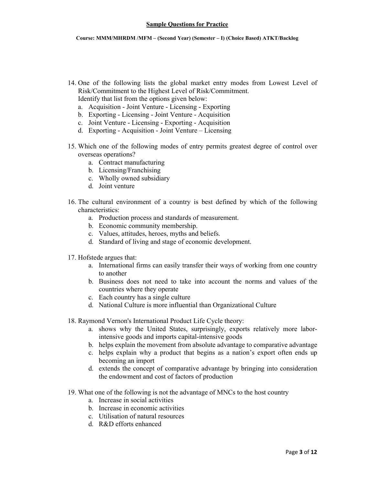- 14. One of the following lists the global market entry modes from Lowest Level of Risk/Commitment to the Highest Level of Risk/Commitment. Identify that list from the options given below:
	- a. Acquisition Joint Venture Licensing Exporting
	- b. Exporting Licensing Joint Venture Acquisition
	- c. Joint Venture Licensing Exporting Acquisition
	- d. Exporting Acquisition Joint Venture Licensing
- 15. Which one of the following modes of entry permits greatest degree of control over overseas operations?
	- a. Contract manufacturing
	- b. Licensing/Franchising
	- c. Wholly owned subsidiary
	- d. Joint venture
- 16. The cultural environment of a country is best defined by which of the following characteristics:
	- a. Production process and standards of measurement.
	- b. Economic community membership.
	- c. Values, attitudes, heroes, myths and beliefs.
	- d. Standard of living and stage of economic development.
- 17. Hofstede argues that:
	- a. International firms can easily transfer their ways of working from one country to another
	- b. Business does not need to take into account the norms and values of the countries where they operate
	- c. Each country has a single culture
	- d. National Culture is more influential than Organizational Culture
- 18. Raymond Vernon's International Product Life Cycle theory:
	- a. shows why the United States, surprisingly, exports relatively more laborintensive goods and imports capital-intensive goods
	- b. helps explain the movement from absolute advantage to comparative advantage
	- c. helps explain why a product that begins as a nation's export often ends up becoming an import
	- d. extends the concept of comparative advantage by bringing into consideration the endowment and cost of factors of production
- 19. What one of the following is not the advantage of MNCs to the host country
	- a Increase in social activities
	- b. Increase in economic activities
	- c Utilisation of natural resources
	- $d$  R&D efforts enhanced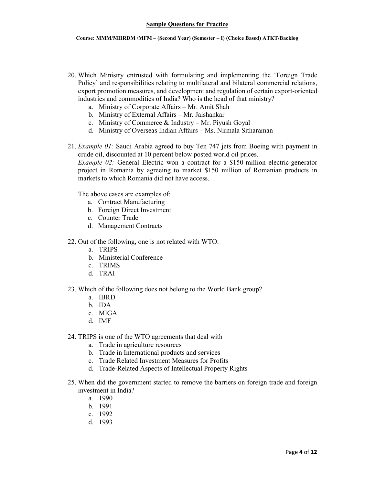- 20. Which Ministry entrusted with formulating and implementing the 'Foreign Trade Policy' and responsibilities relating to multilateral and bilateral commercial relations, export promotion measures, and development and regulation of certain export-oriented industries and commodities of India? Who is the head of that ministry?
	- a. Ministry of Corporate Affairs Mr. Amit Shah
	- b. Ministry of External Affairs Mr. Jaishankar
	- c. Ministry of Commerce & Industry Mr. Piyush Goyal
	- d. Ministry of Overseas Indian Affairs Ms. Nirmala Sitharaman
- 21. *Example 01:* Saudi Arabia agreed to buy Ten 747 jets from Boeing with payment in crude oil, discounted at 10 percent below posted world oil prices. *Example 02:* General Electric won a contract for a \$150-million electric-generator project in Romania by agreeing to market \$150 million of Romanian products in markets to which Romania did not have access

The above cases are examples of:

- a. Contract Manufacturing
- b. Foreign Direct Investment
- c. Counter Trade
- d. Management Contracts
- 22. Out of the following, one is not related with WTO:
	- a. TRIPS
	- b. Ministerial Conference
	- c. TRIMS
	- d. TRAI
- 23. Which of the following does not belong to the World Bank group?
	- a. IBRD
	- b. IDA
	- c. MIGA
	- d. IMF
- 24. TRIPS is one of the WTO agreements that deal with
	- a. Trade in agriculture resources
	- b. Trade in International products and services
	- c. Trade Related Investment Measures for Profits
	- d. Trade-Related Aspects of Intellectual Property Rights
- 25. When did the government started to remove the barriers on foreign trade and foreign investment in India?
	- a. 1990
	- h 1991
	- c. 1992
	- d. 1993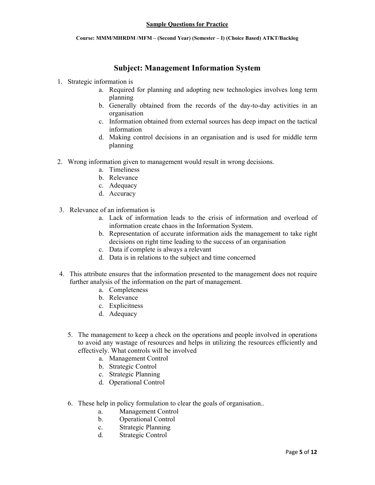# **Subject: Management Information System**

## 1. Strategic information is

- a. Required for planning and adopting new technologies involves long term planning
- b. Generally obtained from the records of the day-to-day activities in an organisation
- c. Information obtained from external sources has deep impact on the tactical information
- d. Making control decisions in an organisation and is used for middle term planning
- 2. Wrong information given to management would result in wrong decisions.
	- a. Timeliness
	- b. Relevance
	- c. Adequacy
	- d. Accuracy
- 3. Relevance of an information is
	- a. Lack of information leads to the crisis of information and overload of information create chaos in the Information System.
	- b. Representation of accurate information aids the management to take right decisions on right time leading to the success of an organisation
	- c. Data if complete is always a relevant
	- d. Data is in relations to the subject and time concerned
- 4. This attribute ensures that the information presented to the management does not require further analysis of the information on the part of management.
	- a. Completeness
	- **b** Relevance
	- c. Explicitness
	- d. Adequacy
	- 5. The management to keep a check on the operations and people involved in operations to avoid any wastage of resources and helps in utilizing the resources efficiently and effectively. What controls will be involved
		- a. Management Control
		- b. Strategic Control
		- c. Strategic Planning
		- d. Operational Control
	- 6. These help in policy formulation to clear the goals of organisation...
		- Management Control a.
		- **Operational Control**  $h$
		- $c_{\cdot}$ **Strategic Planning**
		- **Strategic Control**  $d_{-}$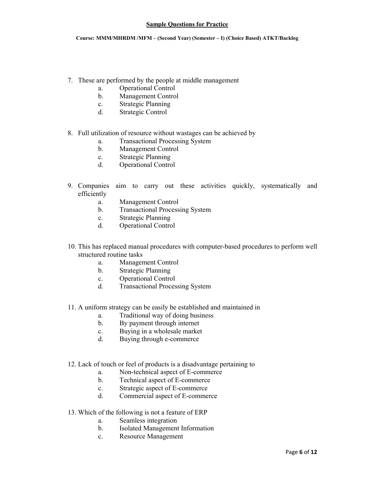Course: MMM/MHRDM /MFM - (Second Year) (Semester - I) (Choice Based) ATKT/Backlog

- 7. These are performed by the people at middle management
	- Operational Control a.
	- **Management Control**  $\mathbf{b}$ .
	- $\mathbf{c}$ . **Strategic Planning**
	- $d_{\cdot}$ **Strategic Control**

## 8. Full utilization of resource without wastages can be achieved by

- **Transactional Processing System** a.
- **Management Control**  $\mathbf{b}$ .
- **Strategic Planning**  $c_{\cdot}$
- d. **Operational Control**
- 9. Companies aim to carry out these activities quickly, systematically and efficiently
	- **Management Control** a.
	- **Transactional Processing System**  $b<sub>1</sub>$
	- **Strategic Planning**  $\mathbf{c}$ .
	- $d$ . **Operational Control**
- 10. This has replaced manual procedures with computer-based procedures to perform well structured routine tasks
	- Management Control  $a_{-}$
	- **Strategic Planning**  $b<sub>1</sub>$
	- **Operational Control**  $\mathbf{c}$ .
	- **Transactional Processing System**  $d_{-}$
- 11. A uniform strategy can be easily be established and maintained in
	- Traditional way of doing business  $a_{-}$
	- By payment through internet  $b<sub>1</sub>$
	- Buying in a wholesale market  $\mathbf{c}$ .
	- Buying through e-commerce  $d_{-}$
- 12. Lack of touch or feel of products is a disadvantage pertaining to
	- Non-technical aspect of E-commerce  $a$
	- Technical aspect of E-commerce  $\mathbf{b}$ .
	- Strategic aspect of E-commerce  $\mathbf{c}$ .
	- Commercial aspect of E-commerce  $d_{\cdot}$
- 13. Which of the following is not a feature of ERP
	- a. Seamless integration
	- Isolated Management Information  $<sub>b</sub>$ </sub>
	- **Resource Management**  $c_{\cdot}$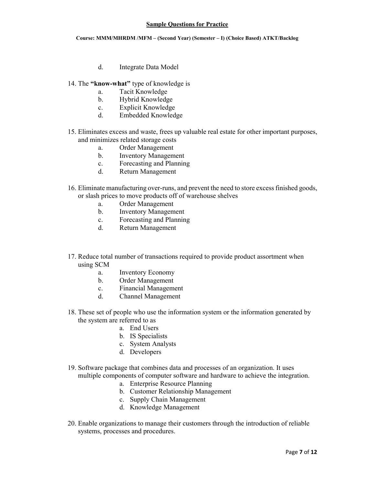- $d_{\cdot}$ Integrate Data Model
- 14. The "know-what" type of knowledge is
	- **Tacit Knowledge** a.
	- Hybrid Knowledge  $b<sub>1</sub>$
	- **Explicit Knowledge**  $\mathbf{c}$ .
	- $\mathbf d$ **Embedded Knowledge**
- 15. Eliminates excess and waste, frees up valuable real estate for other important purposes, and minimizes related storage costs
	- Order Management a.
	- **Inventory Management**  $b<sub>1</sub>$
	- Forecasting and Planning  $\mathbf{c}$
	- Return Management  $d_{-}$
- 16. Eliminate manufacturing over-runs, and prevent the need to store excess finished goods, or slash prices to move products off of warehouse shelves
	- Order Management  $a$
	- **Inventory Management**  $b<sub>1</sub>$
	- Forecasting and Planning  $\mathbf{c}$ .
	- Return Management d.
- 17. Reduce total number of transactions required to provide product assortment when using SCM
	- **Inventory Economy**  $a.$
	- Order Management  $b<sub>1</sub>$
	- **Financial Management**  $\mathbf{c}$ .
	- $\mathbf d$ **Channel Management**
- 18. These set of people who use the information system or the information generated by the system are referred to as
	- a. End Users
	- b. IS Specialists
	- c. System Analysts
	- d. Developers
- 19. Software package that combines data and processes of an organization. It uses multiple components of computer software and hardware to achieve the integration.
	- a. Enterprise Resource Planning
	- b. Customer Relationship Management
	- c. Supply Chain Management
	- d. Knowledge Management
- 20. Enable organizations to manage their customers through the introduction of reliable systems, processes and procedures.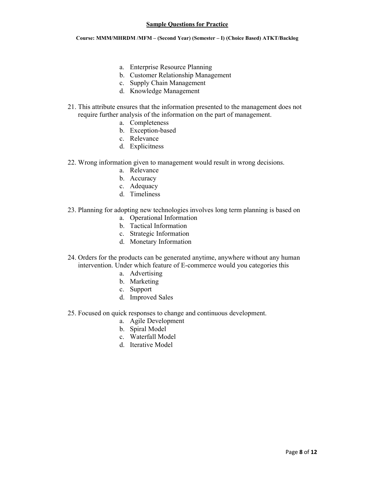- a. Enterprise Resource Planning
- b. Customer Relationship Management
- c. Supply Chain Management
- d. Knowledge Management
- 21. This attribute ensures that the information presented to the management does not require further analysis of the information on the part of management.
	- a. Completeness
	- b. Exception-based
	- c. Relevance
	- d. Explicitness
- 22. Wrong information given to management would result in wrong decisions.
	- a. Relevance
	- b. Accuracy
	- c. Adequacy
	- d. Timeliness
- 23. Planning for adopting new technologies involves long term planning is based on
	- a. Operational Information
	- b. Tactical Information
	- c. Strategic Information
	- d. Monetary Information
- 24. Orders for the products can be generated anytime, anywhere without any human intervention. Under which feature of E-commerce would you categories this
	- a. Advertising
	- b. Marketing
	- c. Support
	- d. Improved Sales
- 25. Focused on quick responses to change and continuous development.
	- a. Agile Development
	- b. Spiral Model
	- c. Waterfall Model
	- d. Iterative Model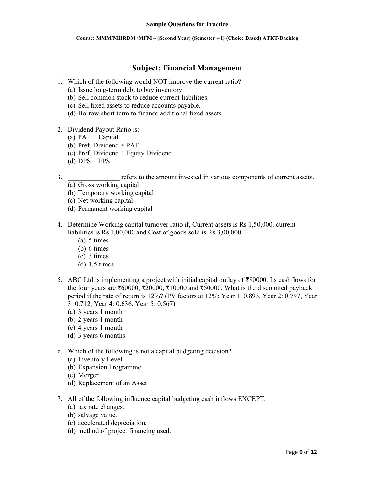# **Subject: Financial Management**

- 1. Which of the following would NOT improve the current ratio?
	- (a) Issue long-term debt to buy inventory.
	- (b) Sell common stock to reduce current liabilities.
	- (c) Sell fixed assets to reduce accounts payable.
	- (d) Borrow short term to finance additional fixed assets.
- 2. Dividend Payout Ratio is:
	- (a)  $PAT \div$  Capital
	- (b) Pref. Dividend  $\div$  PAT
	- (c) Pref. Dividend  $\div$  Equity Dividend.
	- (d)  $DPS \div EPS$
- $3.$ refers to the amount invested in various components of current assets.
	- $\overline{a}$ ) Gross working capital
	- (b) Temporary working capital
	- (c) Net working capital
	- (d) Permanent working capital
- 4. Determine Working capital turnover ratio if, Current assets is Rs 1,50,000, current liabilities is Rs 1,00,000 and Cost of goods sold is Rs 3,00,000.
	- $(a)$  5 times
	- $(b) 6 \times$
	- $(c)$  3 times
	- $(d)$  1.5 times
- 5. ABC Ltd is implementing a project with initial capital outlay of  $\overline{\xi}80000$ . Its cashflows for the four years are ₹60000, ₹20000, ₹10000 and ₹50000. What is the discounted payback period if the rate of return is 12%? (PV factors at 12%: Year 1: 0.893, Year 2: 0.797, Year 3: 0.712, Year 4: 0.636, Year 5: 0.567)
	- (a)  $3$  years 1 month
	- $(b)$  2 years 1 month
	- $(c)$  4 years 1 month
	- (d)  $3$  years 6 months
- 6. Which of the following is not a capital budgeting decision?
	- (a) Inventory Level
	- (b) Expansion Programme
	- (c) Merger
	- (d) Replacement of an Asset
- 7. All of the following influence capital budgeting cash inflows EXCEPT:
	- (a) tax rate changes.
	- (b) salvage value.
	- (c) accelerated depreciation.
	- (d) method of project financing used.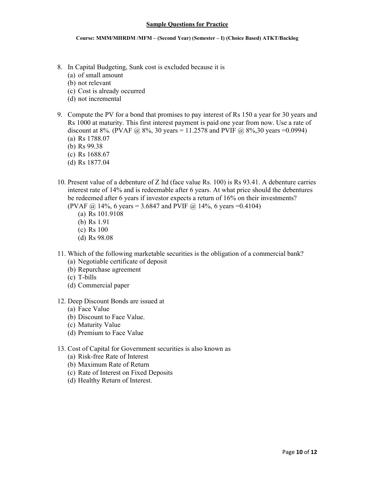- 8. In Capital Budgeting, Sunk cost is excluded because it is
	- (a) of small amount
	- (b) not relevant
	- (c) Cost is already occurred
	- (d) not incremental
- 9. Compute the PV for a bond that promises to pay interest of Rs 150 a year for 30 years and Rs 1000 at maturity. This first interest payment is paid one year from now. Use a rate of discount at 8%. (PVAF  $\omega$ , 8%, 30 years = 11.2578 and PVIF  $\omega$ , 8%, 30 years = 0.0994) (a) Rs  $1788.07$ 
	- (b) Rs  $99.38$
	- (c) Rs  $1688.67$
	- (d) Rs  $1877.04$
- 10. Present value of a debenture of Z ltd (face value Rs. 100) is Rs 93.41. A debenture carries interest rate of 14% and is redeemable after 6 years. At what price should the debentures be redeemed after 6 years if investor expects a return of 16% on their investments? (PVAF  $\omega$ ) 14%, 6 years = 3.6847 and PVIF  $\omega$ ) 14%, 6 years = 0.4104)
	- (a) Rs  $101.9108$
	- (b) Rs  $1.91$
	- $(c)$  Rs 100
	- (d) Rs  $98.08$
- 11. Which of the following marketable securities is the obligation of a commercial bank?
	- (a) Negotiable certificate of deposit
	- (b) Repurchase agreement
	- $(c)$  T-bills
	- (d) Commercial paper
- 12. Deep Discount Bonds are issued at
	- (a) Face Value
	- (b) Discount to Face Value.
	- (c) Maturity Value
	- (d) Premium to Face Value
- 13. Cost of Capital for Government securities is also known as
	- (a) Risk-free Rate of Interest
	- (b) Maximum Rate of Return
	- (c) Rate of Interest on Fixed Deposits
	- (d) Healthy Return of Interest.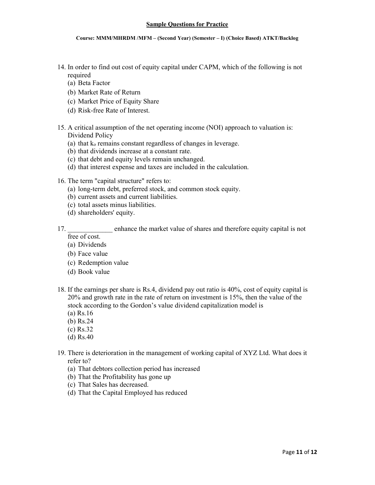- 14. In order to find out cost of equity capital under CAPM, which of the following is not required
	- (a) Beta Factor
	- (b) Market Rate of Return
	- (c) Market Price of Equity Share
	- (d) Risk-free Rate of Interest.
- 15. A critical assumption of the net operating income (NOI) approach to valuation is: Dividend Policy
	- (a) that  $k_0$  remains constant regardless of changes in leverage.
	- (b) that dividends increase at a constant rate.
	- (c) that debt and equity levels remain unchanged.
	- (d) that interest expense and taxes are included in the calculation.
- 16. The term "capital structure" refers to:
	- (a) long-term debt, preferred stock, and common stock equity.
	- (b) current assets and current liabilities.
	- (c) total assets minus liabilities.
	- (d) shareholders' equity.
- enhance the market value of shares and therefore equity capital is not 17. free of cost.
	- (a) Dividends
	- (b) Face value
	- (c) Redemption value
	- (d) Book value
- 18. If the earnings per share is Rs.4, dividend pay out ratio is 40%, cost of equity capital is 20% and growth rate in the rate of return on investment is 15%, then the value of the stock according to the Gordon's value dividend capitalization model is
	- (a)  $Rs.16$
	- (b)  $Rs.24$
	- (c)  $Rs.32$
	- $(d)$  Rs.40
- 19. There is deterioration in the management of working capital of XYZ Ltd. What does it refer to?
	- (a) That debtors collection period has increased
	- (b) That the Profitability has gone up
	- (c) That Sales has decreased.
	- (d) That the Capital Employed has reduced